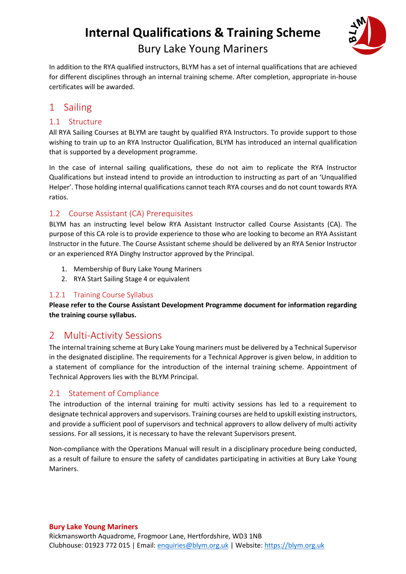

In addition to the RYA qualified instructors, BLYM has a set of internal qualifications that are achieved for different disciplines through an internal training scheme. After completion, appropriate in-house certificates will be awarded.

# 1 Sailing

# 1.1 Structure

All RYA Sailing Courses at BLYM are taught by qualified RYA Instructors. To provide support to those wishing to train up to an RYA Instructor Qualification, BLYM has introduced an internal qualification that is supported by a development programme.

In the case of internal sailing qualifications, these do not aim to replicate the RYA Instructor Qualifications but instead intend to provide an introduction to instructing as part of an 'Unqualified Helper'. Those holding internal qualifications cannot teach RYA courses and do not count towards RYA ratios.

# 1.2 Course Assistant (CA) Prerequisites

BLYM has an instructing level below RYA Assistant Instructor called Course Assistants (CA). The purpose of this CA role is to provide experience to those who are looking to become an RYA Assistant Instructor in the future. The Course Assistant scheme should be delivered by an RYA Senior Instructor or an experienced RYA Dinghy Instructor approved by the Principal.

- 1. Membership of Bury Lake Young Mariners
- 2. RYA Start Sailing Stage 4 or equivalent

## 1.2.1 Training Course Syllabus

**Please refer to the Course Assistant Development Programme document for information regarding the training course syllabus.**

# 2 Multi-Activity Sessions

The internal training scheme at Bury Lake Young mariners must be delivered by a Technical Supervisor in the designated discipline. The requirements for a Technical Approver is given below, in addition to a statement of compliance for the introduction of the internal training scheme. Appointment of Technical Approvers lies with the BLYM Principal.

# 2.1 Statement of Compliance

The introduction of the internal training for multi activity sessions has led to a requirement to designate technical approvers and supervisors. Training courses are held to upskill existing instructors, and provide a sufficient pool of supervisors and technical approvers to allow delivery of multi activity sessions. For all sessions, it is necessary to have the relevant Supervisors present.

Non-compliance with the Operations Manual will result in a disciplinary procedure being conducted, as a result of failure to ensure the safety of candidates participating in activities at Bury Lake Young Mariners.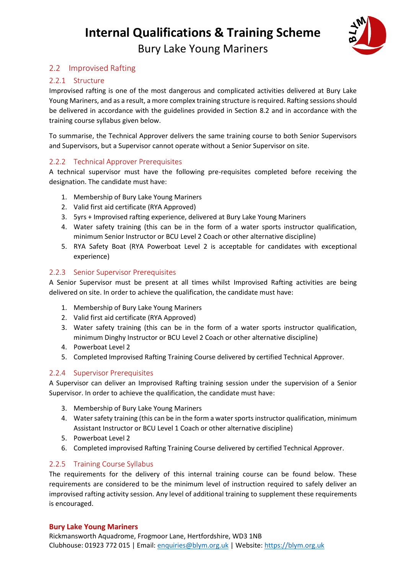

# 2.2 Improvised Rafting

## 2.2.1 Structure

Improvised rafting is one of the most dangerous and complicated activities delivered at Bury Lake Young Mariners, and as a result, a more complex training structure is required. Rafting sessions should be delivered in accordance with the guidelines provided in Section 8.2 and in accordance with the training course syllabus given below.

To summarise, the Technical Approver delivers the same training course to both Senior Supervisors and Supervisors, but a Supervisor cannot operate without a Senior Supervisor on site.

## 2.2.2 Technical Approver Prerequisites

A technical supervisor must have the following pre-requisites completed before receiving the designation. The candidate must have:

- 1. Membership of Bury Lake Young Mariners
- 2. Valid first aid certificate (RYA Approved)
- 3. 5yrs + Improvised rafting experience, delivered at Bury Lake Young Mariners
- 4. Water safety training (this can be in the form of a water sports instructor qualification, minimum Senior Instructor or BCU Level 2 Coach or other alternative discipline)
- 5. RYA Safety Boat (RYA Powerboat Level 2 is acceptable for candidates with exceptional experience)

## 2.2.3 Senior Supervisor Prerequisites

A Senior Supervisor must be present at all times whilst Improvised Rafting activities are being delivered on site. In order to achieve the qualification, the candidate must have:

- 1. Membership of Bury Lake Young Mariners
- 2. Valid first aid certificate (RYA Approved)
- 3. Water safety training (this can be in the form of a water sports instructor qualification, minimum Dinghy Instructor or BCU Level 2 Coach or other alternative discipline)
- 4. Powerboat Level 2
- 5. Completed Improvised Rafting Training Course delivered by certified Technical Approver.

## 2.2.4 Supervisor Prerequisites

A Supervisor can deliver an Improvised Rafting training session under the supervision of a Senior Supervisor. In order to achieve the qualification, the candidate must have:

- 3. Membership of Bury Lake Young Mariners
- 4. Water safety training (this can be in the form a water sports instructor qualification, minimum Assistant Instructor or BCU Level 1 Coach or other alternative discipline)
- 5. Powerboat Level 2
- 6. Completed improvised Rafting Training Course delivered by certified Technical Approver.

## 2.2.5 Training Course Syllabus

The requirements for the delivery of this internal training course can be found below. These requirements are considered to be the minimum level of instruction required to safely deliver an improvised rafting activity session. Any level of additional training to supplement these requirements is encouraged.

#### **Bury Lake Young Mariners**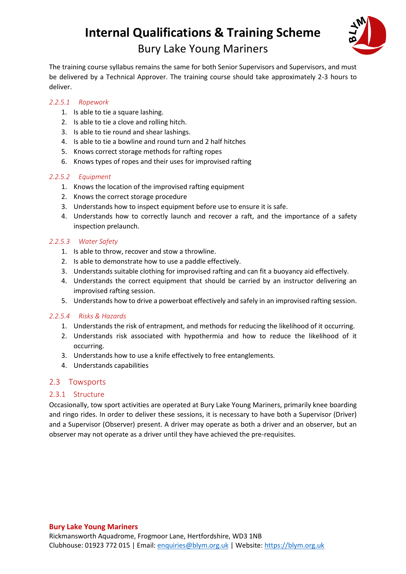

The training course syllabus remains the same for both Senior Supervisors and Supervisors, and must be delivered by a Technical Approver. The training course should take approximately 2-3 hours to deliver.

#### *2.2.5.1 Ropework*

- 1. Is able to tie a square lashing.
- 2. Is able to tie a clove and rolling hitch.
- 3. Is able to tie round and shear lashings.
- 4. Is able to tie a bowline and round turn and 2 half hitches
- 5. Knows correct storage methods for rafting ropes
- 6. Knows types of ropes and their uses for improvised rafting

#### *2.2.5.2 Equipment*

- 1. Knows the location of the improvised rafting equipment
- 2. Knows the correct storage procedure
- 3. Understands how to inspect equipment before use to ensure it is safe.
- 4. Understands how to correctly launch and recover a raft, and the importance of a safety inspection prelaunch.

#### *2.2.5.3 Water Safety*

- 1. Is able to throw, recover and stow a throwline.
- 2. Is able to demonstrate how to use a paddle effectively.
- 3. Understands suitable clothing for improvised rafting and can fit a buoyancy aid effectively.
- 4. Understands the correct equipment that should be carried by an instructor delivering an improvised rafting session.
- 5. Understands how to drive a powerboat effectively and safely in an improvised rafting session.

#### *2.2.5.4 Risks & Hazards*

- 1. Understands the risk of entrapment, and methods for reducing the likelihood of it occurring.
- 2. Understands risk associated with hypothermia and how to reduce the likelihood of it occurring.
- 3. Understands how to use a knife effectively to free entanglements.
- 4. Understands capabilities

#### 2.3 Towsports

#### 2.3.1 Structure

Occasionally, tow sport activities are operated at Bury Lake Young Mariners, primarily knee boarding and ringo rides. In order to deliver these sessions, it is necessary to have both a Supervisor (Driver) and a Supervisor (Observer) present. A driver may operate as both a driver and an observer, but an observer may not operate as a driver until they have achieved the pre-requisites.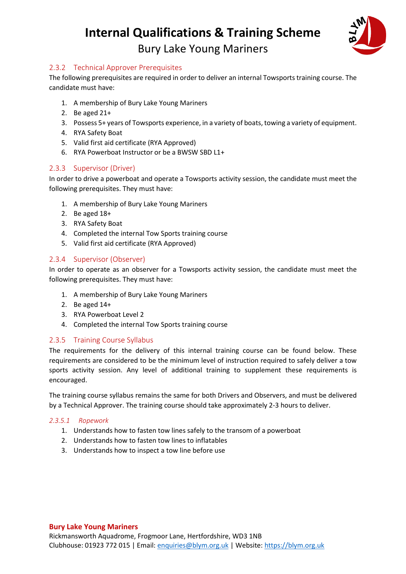

# 2.3.2 Technical Approver Prerequisites

The following prerequisites are required in order to deliver an internal Towsports training course. The candidate must have:

- 1. A membership of Bury Lake Young Mariners
- 2. Be aged 21+
- 3. Possess 5+ years of Towsports experience, in a variety of boats, towing a variety of equipment.
- 4. RYA Safety Boat
- 5. Valid first aid certificate (RYA Approved)
- 6. RYA Powerboat Instructor or be a BWSW SBD L1+

#### 2.3.3 Supervisor (Driver)

In order to drive a powerboat and operate a Towsports activity session, the candidate must meet the following prerequisites. They must have:

- 1. A membership of Bury Lake Young Mariners
- 2. Be aged 18+
- 3. RYA Safety Boat
- 4. Completed the internal Tow Sports training course
- 5. Valid first aid certificate (RYA Approved)

#### 2.3.4 Supervisor (Observer)

In order to operate as an observer for a Towsports activity session, the candidate must meet the following prerequisites. They must have:

- 1. A membership of Bury Lake Young Mariners
- 2. Be aged 14+
- 3. RYA Powerboat Level 2
- 4. Completed the internal Tow Sports training course

#### 2.3.5 Training Course Syllabus

The requirements for the delivery of this internal training course can be found below. These requirements are considered to be the minimum level of instruction required to safely deliver a tow sports activity session. Any level of additional training to supplement these requirements is encouraged.

The training course syllabus remains the same for both Drivers and Observers, and must be delivered by a Technical Approver. The training course should take approximately 2-3 hours to deliver.

#### *2.3.5.1 Ropework*

- 1. Understands how to fasten tow lines safely to the transom of a powerboat
- 2. Understands how to fasten tow lines to inflatables
- 3. Understands how to inspect a tow line before use

#### **Bury Lake Young Mariners**